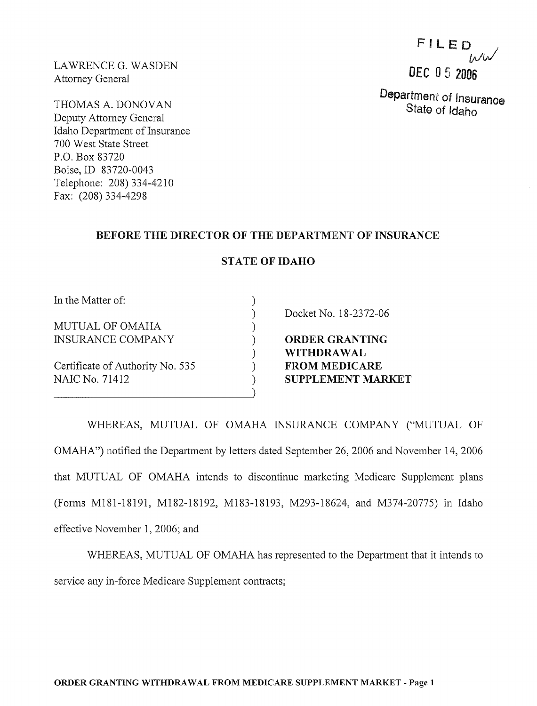LAWRENCE G. WASDEN Attomey General

THOMAS A. DONOVAN Deputy Attomey General Idaho Department of Insurance 700 West State Street P.O. Box 83720 Boise, ID 83720-0043 Telephone: 208) 334-4210 Fax: (208) 334-4298

# FILED / *Ww*  DEC 05 2006

Department of Insuranoe State of Idaho

### BEFORE THE DIRECTOR OF THE DEPARTMENT OF INSURANCE

#### STATE OF IDAHO

) ) ) ) ) ) )

In the Matter of:

MUTUAL OF OMAHA INSURANCE COMPANY

Certificate of Authority No. 535 NAIC No. 71412

----------------------------~)

Docket No. 18-2372-06

ORDER GRANTING WITHDRAWAL FROM MEDICARE SUPPLEMENT MARKET

WHEREAS, MUTUAL OF OMAHA INSURANCE COMPANY ("MUTUAL OF OMAHA") notified the Department by letters dated September 26,2006 and November 14, 2006 that MUTUAL OF OMAHA intends to discontinue marketing Medicare Supplement plans (Forms M181-18191, M182-18192, M183-18193, M293-18624, and M374-20775) in Idaho effective November 1,2006; and

WHEREAS, MUTUAL OF OMAHA has represented to the Department that it intends to service any in-force Medicare Supplement contracts;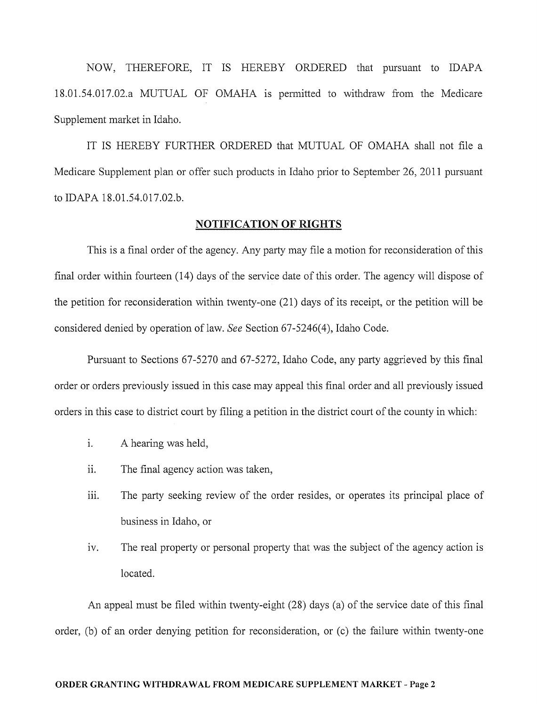NOW, THEREFORE, IT IS HEREBY ORDERED that pursuant to IDAPA 18.01.54.017.02.a MUTUAL OF OMAHA is permitted to withdraw from the Medicare Supplement market in Idaho.

IT IS HEREBY FURTHER ORDERED that MUTUAL OF OMAHA shall not file a Medicare Supplement plan or offer such products in Idaho prior to September 26, 2011 pursuant to IDAPA 18.01.54.017.02.b.

### **NOTIFICATION OF RIGHTS**

This is a final order of the agency. Any party may file a motion for reconsideration of this final order within fourteen (14) days of the service date of this order. The agency will dispose of the petition for reconsideration within twenty-one (21) days of its receipt, or the petition will be considered denied by operation of law. *See* Section 67-5246(4), Idaho Code.

Pursuant to Sections 67-5270 and 67-5272, Idaho Code, any party aggrieved by this final order or orders previously issued in this case may appeal this final order and all previously issued orders in this case to district court by filing a petition in the district court of the county in which:

- i. A hearing was held,
- ii. The final agency action was taken,
- iii. The party seeking review of the order resides, or operates its principal place of business in Idaho, or
- iv. The real property or personal property that was the subject of the agency action is located.

An appeal must be filed within twenty-eight (28) days (a) of the service date of this final order, (b) of an order denying petition for reconsideration, or  $(c)$  the failure within twenty-one